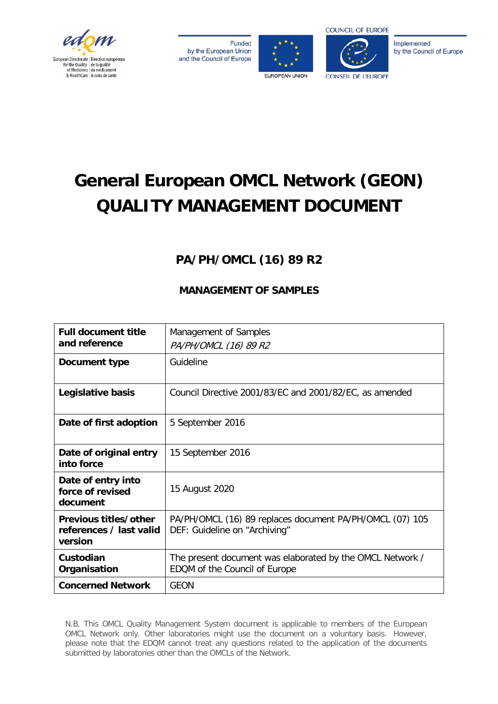

**Funded** by the European Union and the Council of Europe





Implemented by the Council of Europe

# **General European OMCL Network (GEON) QUALITY MANAGEMENT DOCUMENT**

# **PA/PH/OMCL (16) 89 R2**

# **MANAGEMENT OF SAMPLES**

| <b>Full document title</b> | Management of Samples                                     |  |
|----------------------------|-----------------------------------------------------------|--|
| and reference              |                                                           |  |
|                            | PA/PH/OMCL (16) 89 R2                                     |  |
| Document type              | Guideline                                                 |  |
|                            |                                                           |  |
| Legislative basis          | Council Directive 2001/83/EC and 2001/82/EC, as amended   |  |
|                            |                                                           |  |
| Date of first adoption     | 5 September 2016                                          |  |
|                            |                                                           |  |
| Date of original entry     | 15 September 2016                                         |  |
| into force                 |                                                           |  |
| Date of entry into         |                                                           |  |
| force of revised           | 15 August 2020                                            |  |
| document                   |                                                           |  |
| Previous titles/other      | PA/PH/OMCL (16) 89 replaces document PA/PH/OMCL (07) 105  |  |
| references / last valid    | DEF: Guideline on "Archiving"                             |  |
| version                    |                                                           |  |
| Custodian                  | The present document was elaborated by the OMCL Network / |  |
| Organisation               | EDQM of the Council of Europe                             |  |
| <b>Concerned Network</b>   | <b>GEON</b>                                               |  |

N.B. This OMCL Quality Management System document is applicable to members of the European OMCL Network only. Other laboratories might use the document on a voluntary basis. However, please note that the EDQM cannot treat any questions related to the application of the documents submitted by laboratories other than the OMCLs of the Network.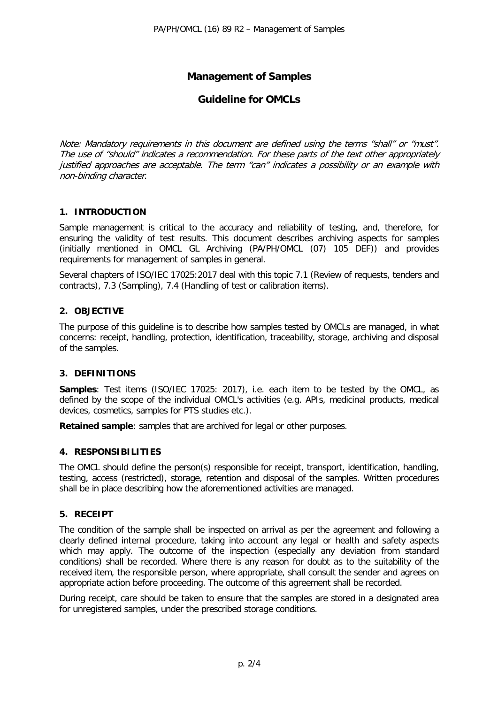# **Management of Samples**

# **Guideline for OMCLs**

Note: Mandatory requirements in this document are defined using the terms "shall" or "must". The use of "should" indicates a recommendation. For these parts of the text other appropriately justified approaches are acceptable. The term "can" indicates a possibility or an example with non-binding character.

#### **1. INTRODUCTION**

Sample management is critical to the accuracy and reliability of testing, and, therefore, for ensuring the validity of test results. This document describes archiving aspects for samples (initially mentioned in OMCL GL Archiving (PA/PH/OMCL (07) 105 DEF)) and provides requirements for management of samples in general.

Several chapters of ISO/IEC 17025:2017 deal with this topic 7.1 (Review of requests, tenders and contracts), 7.3 (Sampling), 7.4 (Handling of test or calibration items).

# **2. OBJECTIVE**

The purpose of this guideline is to describe how samples tested by OMCLs are managed, in what concerns: receipt, handling, protection, identification, traceability, storage, archiving and disposal of the samples.

# **3. DEFINITIONS**

**Samples**: Test items (ISO/IEC 17025: 2017), i.e. each item to be tested by the OMCL, as defined by the scope of the individual OMCL's activities (e.g. APIs, medicinal products, medical devices, cosmetics, samples for PTS studies etc.).

**Retained sample**: samples that are archived for legal or other purposes.

#### **4. RESPONSIBILITIES**

The OMCL should define the person(s) responsible for receipt, transport, identification, handling, testing, access (restricted), storage, retention and disposal of the samples. Written procedures shall be in place describing how the aforementioned activities are managed.

#### **5. RECEIPT**

The condition of the sample shall be inspected on arrival as per the agreement and following a clearly defined internal procedure, taking into account any legal or health and safety aspects which may apply. The outcome of the inspection (especially any deviation from standard conditions) shall be recorded. Where there is any reason for doubt as to the suitability of the received item, the responsible person, where appropriate, shall consult the sender and agrees on appropriate action before proceeding. The outcome of this agreement shall be recorded.

During receipt, care should be taken to ensure that the samples are stored in a designated area for unregistered samples, under the prescribed storage conditions.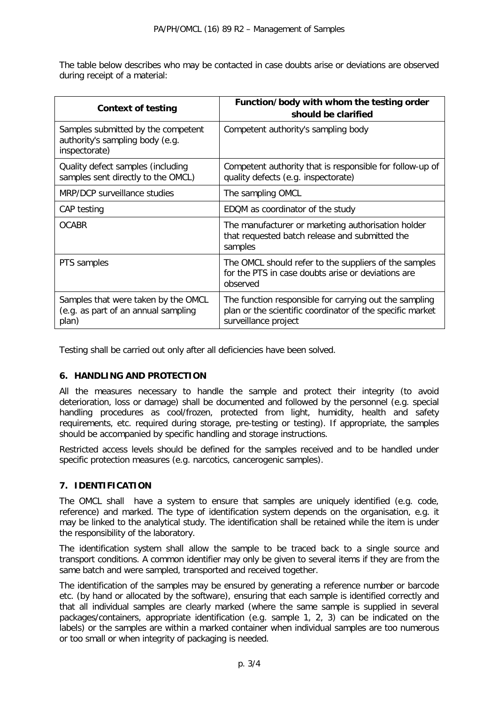The table below describes who may be contacted in case doubts arise or deviations are observed during receipt of a material:

| <b>Context of testing</b>                                                              | Function/body with whom the testing order<br>should be clarified                                                                            |
|----------------------------------------------------------------------------------------|---------------------------------------------------------------------------------------------------------------------------------------------|
| Samples submitted by the competent<br>authority's sampling body (e.g.<br>inspectorate) | Competent authority's sampling body                                                                                                         |
| Quality defect samples (including<br>samples sent directly to the OMCL)                | Competent authority that is responsible for follow-up of<br>quality defects (e.g. inspectorate)                                             |
| MRP/DCP surveillance studies                                                           | The sampling OMCL                                                                                                                           |
| CAP testing                                                                            | EDQM as coordinator of the study                                                                                                            |
| <b>OCABR</b>                                                                           | The manufacturer or marketing authorisation holder<br>that requested batch release and submitted the<br>samples                             |
| PTS samples                                                                            | The OMCL should refer to the suppliers of the samples<br>for the PTS in case doubts arise or deviations are<br>observed                     |
| Samples that were taken by the OMCL<br>(e.g. as part of an annual sampling<br>plan)    | The function responsible for carrying out the sampling<br>plan or the scientific coordinator of the specific market<br>surveillance project |

Testing shall be carried out only after all deficiencies have been solved.

# **6. HANDLING AND PROTECTION**

All the measures necessary to handle the sample and protect their integrity (to avoid deterioration, loss or damage) shall be documented and followed by the personnel (e.g. special handling procedures as cool/frozen, protected from light, humidity, health and safety requirements, etc. required during storage, pre-testing or testing). If appropriate, the samples should be accompanied by specific handling and storage instructions.

Restricted access levels should be defined for the samples received and to be handled under specific protection measures (e.g. narcotics, cancerogenic samples).

# **7. IDENTIFICATION**

The OMCL shall have a system to ensure that samples are uniquely identified (e.g. code, reference) and marked. The type of identification system depends on the organisation, e.g. it may be linked to the analytical study. The identification shall be retained while the item is under the responsibility of the laboratory.

The identification system shall allow the sample to be traced back to a single source and transport conditions. A common identifier may only be given to several items if they are from the same batch and were sampled, transported and received together.

The identification of the samples may be ensured by generating a reference number or barcode etc. (by hand or allocated by the software), ensuring that each sample is identified correctly and that all individual samples are clearly marked (where the same sample is supplied in several packages/containers, appropriate identification (e.g. sample 1, 2, 3) can be indicated on the labels) or the samples are within a marked container when individual samples are too numerous or too small or when integrity of packaging is needed.